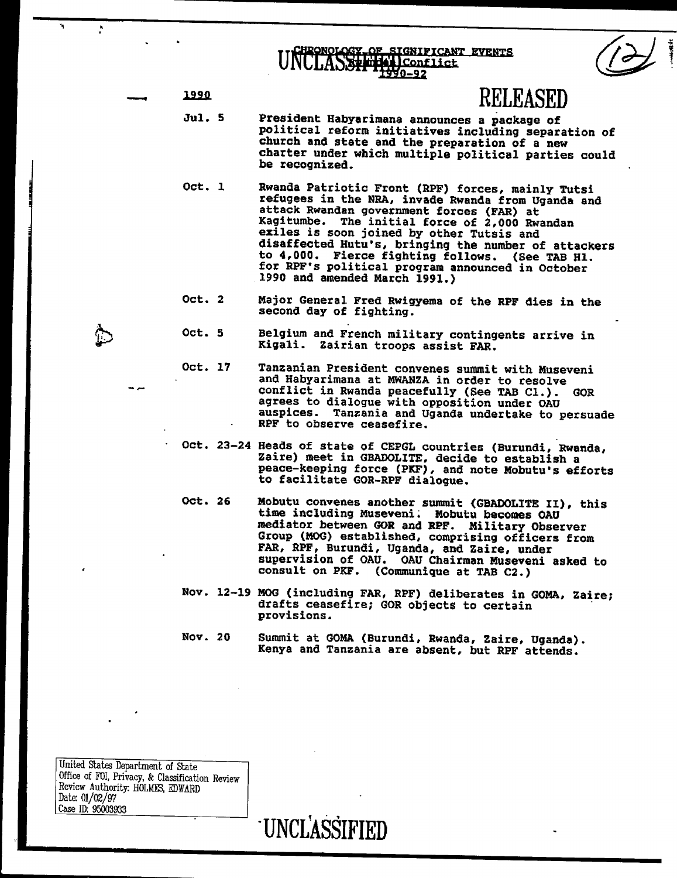church and state and state and state and the preparation of a new state  $\sim$ chronology of stenificant events<br>NULASSH HOLConflict

| 1990<br>---- |
|--------------|
|--------------|

jul. 5 President Habyarimana anno 1992 a package of the state of the state of the state of the state of the state of the state of the state of the state of the state of the state of the state of the state of the state of t political reform initiatives including separation of

1990 RELEASED FOR DESCRIPTION OF RELEASED

be recognized.

provisions. The contract of the contract of the contract of the contract of the contract of the contract of the contract of the contract of the contract of the contract of the contract of the contract of the contract of th

United Statm Department of State

Date: 01/02/97

Office of FQI, Privacy, & Classification Review Review Authority BOLM1~, EDWARD

Case ID: 95O039~33 . UNCRAS

**RELEASED** 

- refugees in the NRA, invade Rwanda from Uganda and Jul. 5 President Habyarimana announces a package of<br>political reform initiatives including separation of church and state and the preparation of a new exiles is soon in the soon of the soon in the sound by other Tutais and the soon in the sound by other Tutais and the sound by  $\alpha$ charter under which multiple political parties could be recognized. to 4,000. Fierce fighting follows. (See TAB Hi.
- Oct. 1 Rwanda Patriotic Front (RPF) forces, mainly Tutsi<br>refugees in the NRA, invade Rwanda from Uganda and 1990 and amended March 1991.) attack Rwandan government forces (FAR) at<br>Kagitumbe. The initial force of 2,000 Rwandan<br>exiles is soon joined by other Tutsis and second day of fighting. disaffected Hutu's, bringing the number of attackers to 4,000. Fierce fighting follows. (See TAB H1.<br>for RPF's political program announced in October Kigali. Zairian troops assist FAR.
	- Oct. 2 Major General Fred Rwigyema of the RPF dies in the second day of fighting.
- Oct. 5 Belgium and French military contingents arrive in Kigali. Zairian troops assist FAR. auspices. Tanzania and Uganda undertake to persuade
	- Oct. 17
- Tanzanian President convenes summit with Museveni and Habyarimana at MWANZA in order to resolve  $\Box$  meet in  $\Box$  decide to extract in  $\Box$ **GOR** peace-keeping force (PK.F), and note Mobutus for all and note Mobutus efforts with the Mobutus efforts and not<br>The Mobutus efforts and note Mobutus efforts and note Mobutus efforts and note Mobutus efforts and note Mobutu to facilitate GOR-RPF dialogue. RPF to observe ceasefire.
	- Oct. 23-24 Heads of state of CEPGL countries (Burundi, Rwanda, Zaire) meet in GBADOLITE, decide to establish a peace-keeping force (PKF), and note Mobutu's efforts to facilitate GOR-RPF dialogue.
- FAR, RPF, Burundi, Uganda, and Zaire, under Oct. 26 Mobutu convenes another summit (GBADOLITE II), this<br>time including Museveni. Mobutu becomes OAU mediator between GOR and RPF. Military Observer Group (MOG) established, comprising officers from<br>FAR, RPF, Burundi, Uganda, and Zaire, under supervision of OAU. OAU Chairman Museveni asked to (Communique at TAB C2.) consult on PKF.
	- Nov. 12-19 MOG (including FAR, RPF) deliberates in GOMA, Zaire;<br>drafts ceasefire; GOR objects to certain provisions.
	- Nov. 20 Summit at GOMA (Burundi, Rwanda, Zaire, Uganda). Kenya and Tanzania are absent, but RPF attends.

**UNCLASSIFIED** 

United States Department of State Office of FOI, Privacy, & Classification Review Review Authority: HOLMES, EDWARD Date: 01/02/97 Case ID: 95003933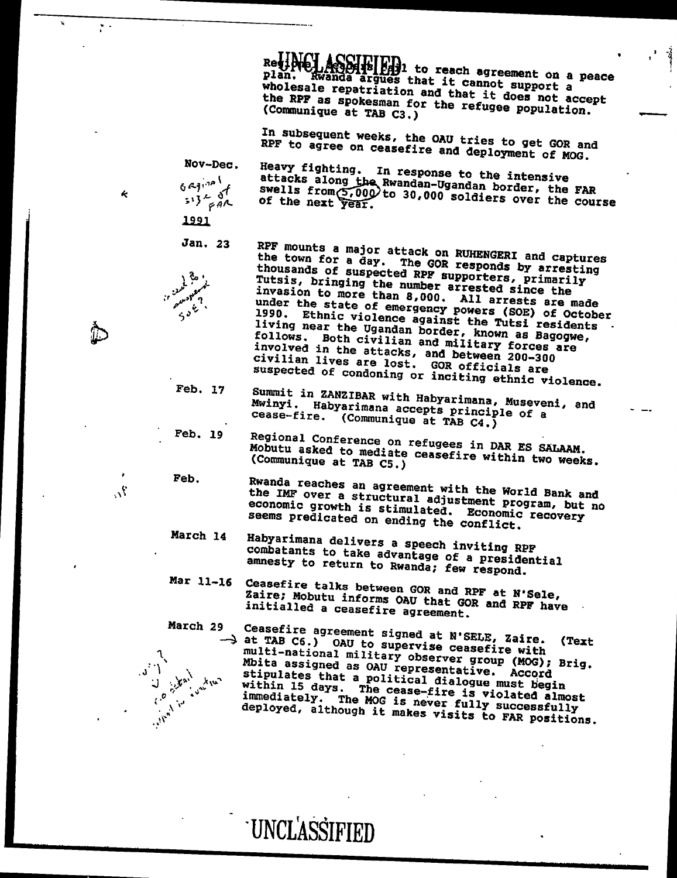$\mathbf{p}$  and it can argue support a argues that it can not support a support at  $\mathbf{p}$ 

Rei: A COURTHER, to reach agreement on a peace<br>plan. Rwanda argues that it cannot support a wholesale representation and that it does not accept  $\mathbf{w}$  it does not accept  $\mathbf{w}$ wholesale repatriation and that it does not accept<br>the RPF as spokesman for the refugee population.<br>(Communique at TAB C3.)

> In subsequent weeks, the OAU tries to get GOR and RPF to agree on ceasefire and deployment of MOG.

Nov-Dec.

civilian lives are lost. GOR officials are

 $\mathcal{P}_1$  , with 15 days. The cease-fire is violated almost  $\mathcal{P}_2$  2.mmediately. The MOG is never fully successfully  $\mathbf{d}$  depends on the fAR positions. Although it makes visits to  $\mathbf{d}$ 

UNCLOSE THE SECOND CONTRACTOR

,  $\frac{1}{2}$  ,  $\frac{1}{2}$  ,  $\frac{1}{2}$  ,  $\frac{1}{2}$  ,  $\frac{1}{2}$  ,  $\frac{1}{2}$  ,  $\frac{1}{2}$  ,  $\frac{1}{2}$  ,  $\frac{1}{2}$  ,  $\frac{1}{2}$  ,  $\frac{1}{2}$  ,  $\frac{1}{2}$  ,  $\frac{1}{2}$  ,  $\frac{1}{2}$  ,  $\frac{1}{2}$  ,  $\frac{1}{2}$  ,  $\frac{1}{2}$  ,  $\frac{1}{2}$  ,  $\frac$ 

(Communique at TAB C3.)

 $\mathbf{f}$  the next year  $\mathbf{f}$ 

Nov-Dec. Heavy fighting. In response to the intensive<br>defined attacks along the Rwandan-Ugandan border, the FAR<br>swells from 5,000 to 30,000 soldiers over the course<br> $(5!) \frac{1}{6}$ a $\lambda$  of the next year. attacks along  $\alpha$  and  $\alpha$   $\alpha$   $\alpha$   $\beta$   $\beta$   $\gamma$  swell  ${}^{51}C_{\alpha\beta}$  of the

1991



Jan. 23 RPF mounts a major attack on RUHENGERI and captures<br>the town for a day. The GOR responds by arresting thousands of suspected RPF supporters, princesting the sumber arrested mines in the Testing the Supporters, and the Muslim state of the Muslim state of the Muslim state of the Muslim state of the Muslim state of the Muslim Tutsis, bringing the number arrested since the<br>invasion to more than 8,000. All arrests are made under the state of  $\zeta^{\delta}$  of  $\zeta^{\delta}$  of  $\zeta^{\delta}$  of  $\zeta^{\delta}$  of  $\zeta^{\delta}$  of  $\zeta^{\delta}$  $\sum_{i=1}^{n}$  in the Calence against the Tutsi residents<br>aliving near the Ugandan border, known as Basidents<br>follows. Both civilian and military forces follows. Both civilian and military forces are involved in the attacks, and between 200-300 follows. Both civilian and military forces are involved in the attacks, and between 200-300

suspected of condoning or inciting ethnic violence.<br>Feb. 17 Summit in ZANZIBAR with Habyarimana, Museveni, and<br>Mwinyi. Habyarimana accepts principle of a cease-fire. (Communique at TAB C4.)

- Feb. 19 Regional Conference on refugees in DAR ES SALAAM. cease-fire. (Community at TAB C4.) Mobutu asked to mediate ceasefire within two weeks.<br>
Feb. Prando google
- Feb. Rwanda reaches an agreement with the World Bank and<br>with the Mobutu asked the More a structural adjustment program, but no (Community at  $\mathcal{D}_L$ ) and  $\mathcal{D}_L$ economic growth is stimulated. Economic recovery seems predicated on ending the conflict.
- March 14 Habyarimana delivers a speech inviting RPF seems predicated on ending the conflict. combatants to take advantage of a presidential<br>amnesty to return to Rwanda; few respond.<br>Ceasefire talks between GOR and RPF at N'Sele,
- Mar 11-16 Ceasefire talks between GOR and RPF at N'Sele,<br>Zaire: Mobutu informs OAU that GOR and RPF have amnesty to return to return to return to respond to  $\mathbf{z}$ initialled a ceasefire agreement.

March 29 Ceasefire agreement signed at N'SELE, Zaire. initialled a ceasef ire agreement. Archive Ceasefire with<br>
multi-national military observer group (MOG); Brig.<br>
Mbita assigned as OAU representative. Accord<br>
stipulates that a political dialogue must begin (Text  $\begin{array}{ccc} \mathbf{0} & \mathbf{0} & \mathbf{0} & \mathbf{0} & \mathbf{0} & \mathbf{0} & \mathbf{0} & \mathbf{0} & \mathbf{0} & \mathbf{0} & \mathbf{0} & \mathbf{0} & \mathbf{0} & \mathbf{0} & \mathbf{0} & \mathbf{0} & \mathbf{0} & \mathbf{0} & \mathbf{0} & \mathbf{0} & \mathbf{0} & \mathbf{0} & \mathbf{0} & \mathbf{0} & \mathbf{0} & \mathbf{0} & \mathbf{0} & \mathbf{0} & \mathbf{0} & \mathbf{0} & \mathbf$ multiple-national military observer  $\mathcal{A} = \mathbb{R}^{n}$ ,  $\mathbb{R}^{n}$  military  $\mathbb{R}^{n}$ late assigned as  $\mathcal{L}^{\mathcal{D}}$  representative. According to  $\mathcal{L}^{\mathcal{D}}$  $\mathbf{q} = \begin{bmatrix} \mathbf{q} & \mathbf{q} & \mathbf{q} \\ \mathbf{q} & \mathbf{q} & \mathbf{q} \end{bmatrix}$ 

**UNCLASSIFIED**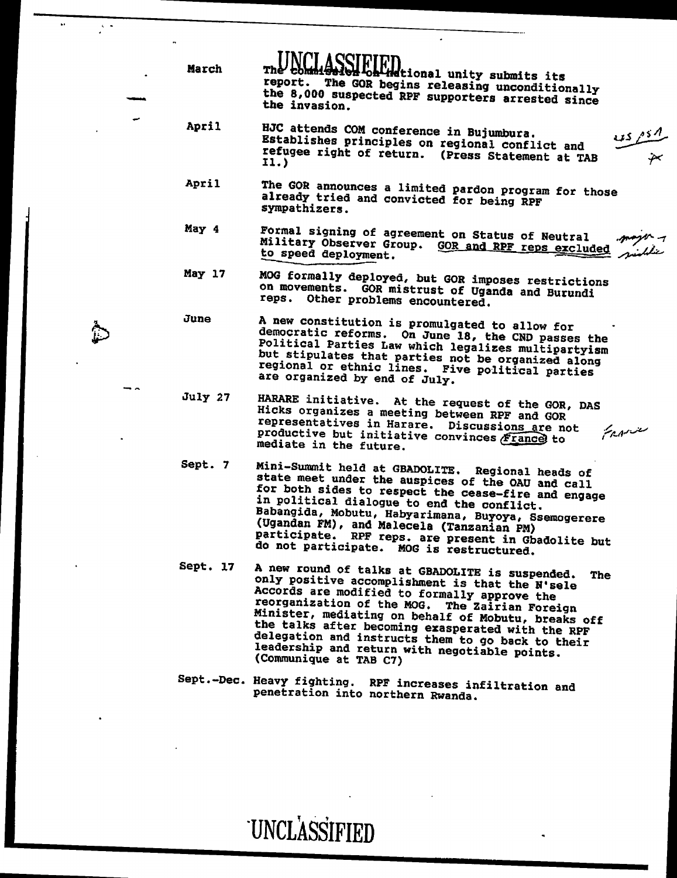| March    | The comm!<br>olloh Hetional unity submits its<br>report. The GOR begins releasing unconditionally<br>the 8,000 suspected RPF supporters arrested since<br>the invasion.                                                                                                                                                                                                                                                                                        |
|----------|----------------------------------------------------------------------------------------------------------------------------------------------------------------------------------------------------------------------------------------------------------------------------------------------------------------------------------------------------------------------------------------------------------------------------------------------------------------|
| April    | HJC attends COM conference in Bujumbura.<br>Establishes principles on regional conflict and<br>refugee right of return. (Press Statement at TAB<br>11.                                                                                                                                                                                                                                                                                                         |
| April    | The GOR announces a limited pardon program for those<br>already tried and convicted for being RPF<br>sympathizers.                                                                                                                                                                                                                                                                                                                                             |
| May 4    | Formal signing of agreement on Status of Neutral<br>Military Observer Group. GOR and RPF reps excluded<br>to speed deployment.                                                                                                                                                                                                                                                                                                                                 |
| May 17   | MOG formally deployed, but GOR imposes restrictions<br>on movements. GOR mistrust of Uganda and Burundi<br>reps. Other problems encountered.                                                                                                                                                                                                                                                                                                                   |
| June     | A new constitution is promulgated to allow for<br>democratic reforms. On June 18, the CND passes the<br>Political Parties Law which legalizes multipartyism<br>but stipulates that parties not be organized along<br>regional or ethnic lines. Five political parties<br>are organized by end of July.                                                                                                                                                         |
| July 27  | HARARE initiative. At the request of the GOR, DAS<br>Hicks organizes a meeting between RPF and GOR<br>representatives in Harare. Discussions are not<br>منتزيمهم<br>productive but initiative convinces France to<br>mediate in the future.                                                                                                                                                                                                                    |
| Sept. 7  | Mini-Summit held at GBADOLITE. Regional heads of<br>state meet under the auspices of the OAU and call<br>for both sides to respect the cease-fire and engage<br>in political dialogue to end the conflict.<br>Babangida, Mobutu, Habyarimana, Buyoya, Ssemogerere<br>(Ugandan FM), and Malecela (Tanzanian PM)<br>participate. RPF reps. are present in Gbadolite but<br>do not participate. MOG is restructured.                                              |
| Sept. 17 | A new round of talks at GBADOLITE is suspended.<br><b>The</b><br>only positive accomplishment is that the N'sele<br>Accords are modified to formally approve the<br>reorganization of the MOG. The Zairian Foreign<br>Minister, mediating on behalf of Mobutu, breaks off<br>the talks after becoming exasperated with the RPF<br>delegation and instructs them to go back to their<br>leadership and return with negotiable points.<br>(Communique at TAB C7) |
|          | Sept.-Dec. Heavy fighting. RPF increases infiltration and<br>penetration into northern Rwanda.                                                                                                                                                                                                                                                                                                                                                                 |

**UNCLASSIFIED** 

 March ThU k~~II~i,F~Dtionai unity submits it~ reproduced the Gordon begins releasing uncondition in the Gordon begins  $\mathcal{L}_\mathcal{D}$ 

 $\blacksquare$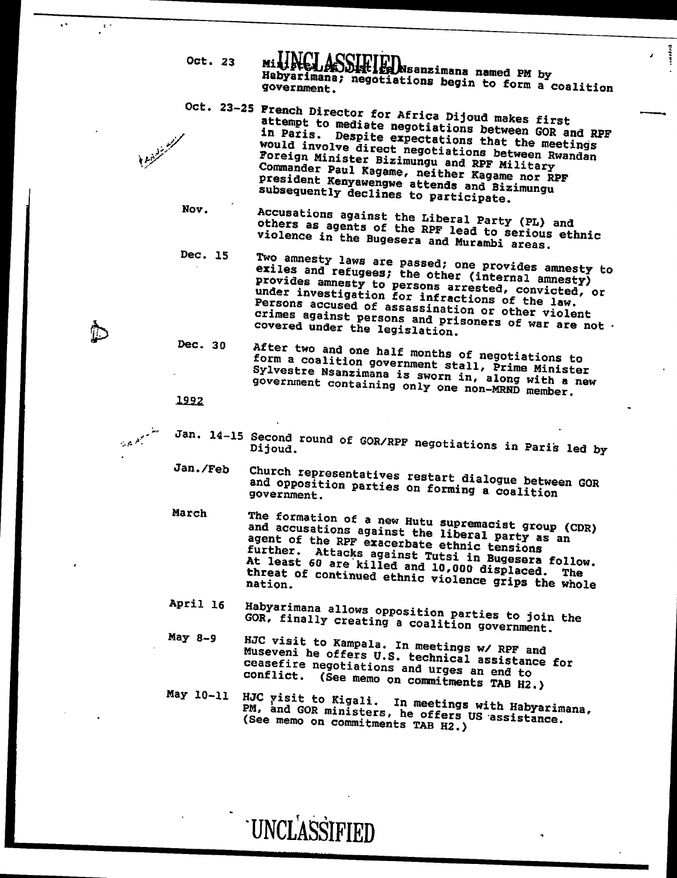Oct. 23

Milistel ACCIDITITY<br>Milistel ADDIStics Nesanzimana named PM by<br>Habyarimana; negotiations begin to form a coalition in Paris. Despite expectations that the meetings would involve direct negotiations between Rwandan Rwandan Rwandan Rwandan Rwandan Rwandan Rwandan Rwandan Rwandan Rwandan Rwandan Rwandan Rwandan Rwandan Rwandan Rwandan Rwandan Rwandan Rwandan Rwandan Rwandan Rwandan Rwan

- Foreign Minister Bizimungu and RPF Military Conui~ander Paul Ragame, neither Kagame nor RPF president Kenyawengwe attends and Bizimungu subsequently declines to participate. Nov. Accusations and Liberal Party (PL) and Liberal Party (PL) and Liberal Party (PL) and Liberal Party (PL) and Liberal Party (PL) and Liberal Party (PL) and Liberal Party (PL) and Liberal Party (PL) and Liberal Party (PL others as agents of the RPF lead to serious ethnic
- violence in the Bugesera and Murambi areas. Accusations against the Liberal Party (PL) and<br>others as agents of the RPF lead to serious ethnic<br>violence in the Bugesera and Murambi areas.
- Dec. 15 Two amnesty laws are passed; one provides amnesty to exiles and refugees; the other (internal amnesty) under investigation for infractions of the law. Persons accused of assassination or other violent provides amnesty to persons arrested, convicted, or<br>under investigation for infractions of the law.<br>Persons accused of assassination or other violent<br>crimes against persons and prisoners of war are not.
- Covered under the legislation.<br>Dec. 30 After two and one half months of negotiations to form a coalition government stall, Prime Minister form a coalition government stall, Prime Minister<br>Sylvestre Nsanzimana is sworn in, along with a new Sylvestre Nsanzimana is sworn in, along with a new

## 1992

 $\mathcal{A}_1$  -14-15 Second round of GoR/RPF negotiations in  $\mathcal{A}_2$ 

covered under the legislation.

Dijoud.

nation.

UNCLASSIFIED CONTINUES.

government.

Oct. 23 Million and 23 Million and 23 Million and 23 Million and 23 Million and 23 Million and 23 Million and 23 Million and 23 Million and 23 Million and 23 Million and 23 Million and 23 Million and 23 Million and 23 Mill Habyarimana; negotiations begin to form a coalition

government. The contract of

 $\blacksquare$ 

Jan. 14-15 Second round of GOR/RPF negotiations in Paris led by<br>Dijoud.

- Jan./Feb Church representatives restart dialogue between GOR and opposition parties on forming a coalition parties on  $\mathfrak{a}$ government.
- March The formation of a new Hutu supremacist group (CDR) and accusations are  $\frac{1}{2}$  agent of the RPF exacerbate ethnic tensions and accusations against the liberal party as an agent of the RPF exacerbate ethnic tensions<br>further. Attacks against Tutsi in Bugesera follow.  $\mathbf{A}$ t least 60 are killed and 10,000 displaced. The  $\mathbf{A}$ At least 60 are killed and 10,000 displaced. The threat of continued ethnic violence grips the whole
- April 16 Habyarimana allows opposition parties to join the GOR, finally creating a coalition government. GOR, finally creating a coalition government.<br>May 8-9 HJC visit to Kampala and Linux
- HJC visit to Kampala. In meetings w/ RPF and<br>Museveni he offers U.S. technical assistance for ceasef ire negotiations and urges an end to  $\blacksquare$ Nay 10-11 HJC risit to Kigali. In meetings with Habyarimana,
- May 10-11 HJC visit to Kigali. In meetings with Habyarimana,<br>PM, and GOR ministers, he offers US assistance. (See memorial  $S$  ) and commitments TAB H2. ) and  $S$ (See memo on commitments TAB H2.)

UNCLASSIFIED